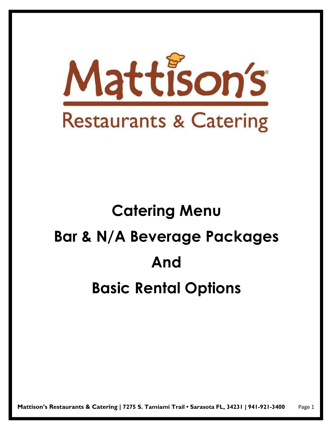

# **Catering Menu Bar & N/A Beverage Packages And Basic Rental Options**

**Mattison's Restaurants & Catering | 7275 S. Tamiami Trail • Sarasota FL, 34231 | 941-921-3400** Page 1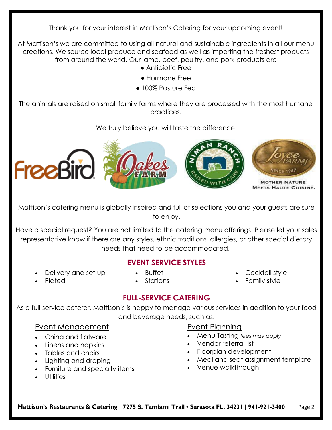Thank you for your interest in Mattison's Catering for your upcoming event!

At Mattison's we are committed to using all natural and sustainable ingredients in all our menu creations. We source local produce and seafood as well as importing the freshest products from around the world. Our lamb, beef, poultry, and pork products are

- Antibiotic Free
- Hormone Free
- 100% Pasture Fed

The animals are raised on small family farms where they are processed with the most humane practices.

## We truly believe you will taste the difference!



Mattison's catering menu is globally inspired and full of selections you and your guests are sure to enjoy.

Have a special request? You are not limited to the catering menu offerings. Please let your sales representative know if there are any styles, ethnic traditions, allergies, or other special dietary needs that need to be accommodated.

## **EVENT SERVICE STYLES**

• Delivery and set up

• Plated

• Buffet • Stations

- Cocktail style
- Family style

# **FULL-SERVICE CATERING**

As a full-service caterer, Mattison's is happy to manage various services in addition to your food and beverage needs, such as:

## Event Management

- China and flatware
- Linens and napkins
- Tables and chairs
- Lighting and draping
- Furniture and specialty items
- Utilities

## Event Planning

- Menu Tasting *fees may apply*
- Vendor referral list
- Floorplan development
- Meal and seat assignment template
- Venue walkthrough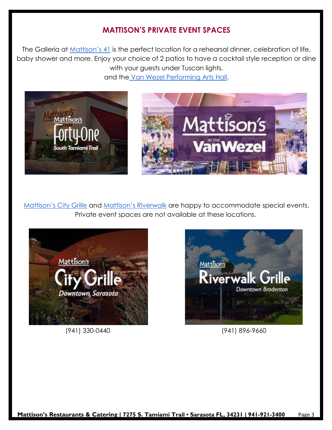## **MATTISON'S PRIVATE EVENT SPACES**

The Galleria at [Mattison's 41](https://mattisons.com/mattisons-forty-one-fancy-restaurants/) is the perfect location for a rehearsal dinner, celebration of life, baby shower and more. Enjoy your choice of 2 patios to have a cocktail style reception or dine with your guests under Tuscan lights. and the [Van Wezel Performing Arts Hall.](https://mattisons.com/mattisons-at-the-van-wezel/)



[Mattison's City Grille](https://mattisons.com/mattisons-downtown-sarasota-restaurant/) and [Mattison's Riverwalk](https://mattisons.com/mattisons-riverwalk-grille-downtown-bradenton-restaurant/) are happy to accommodate special events. Private event spaces are not available at these locations.



(941) 330-0440 (941) 896-9660

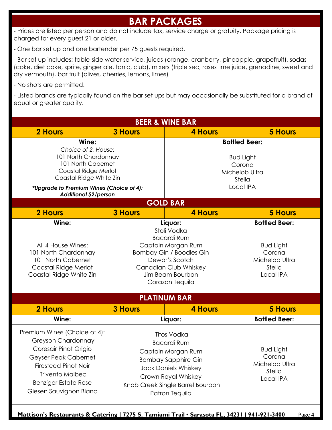# **BAR PACKAGES**

- Prices are listed per person and do not include tax, service charge or gratuity. Package pricing is charged for every guest 21 or older.

- One bar set up and one bartender per 75 guests required.

- Bar set up includes: table-side water service, juices (orange, cranberry, pineapple, grapefruit), sodas (coke, diet coke, sprite, ginger ale, tonic, club), mixers (triple sec, roses lime juice, grenadine, sweet and dry vermouth), bar fruit (olives, cherries, lemons, limes)

- No shots are permitted.

- Listed brands are typically found on the bar set ups but may occasionally be substituted for a brand of equal or greater quality.

| <b>BEER &amp; WINE BAR</b>                                                                                                                                                                                            |                |                                                                                                                                                                                                   |                                                                     |  |  |
|-----------------------------------------------------------------------------------------------------------------------------------------------------------------------------------------------------------------------|----------------|---------------------------------------------------------------------------------------------------------------------------------------------------------------------------------------------------|---------------------------------------------------------------------|--|--|
| 2 Hours                                                                                                                                                                                                               | <b>3 Hours</b> | <b>4 Hours</b>                                                                                                                                                                                    | <b>5 Hours</b>                                                      |  |  |
| Wine:                                                                                                                                                                                                                 |                | <b>Bottled Beer:</b>                                                                                                                                                                              |                                                                     |  |  |
| Choice of 2, House:<br>101 North Chardonnay<br>101 North Cabernet<br>Coastal Ridge Merlot<br>Coastal Ridge White Zin<br>*Upgrade to Premium Wines (Choice of 4):<br><b>Additional \$2/person</b>                      |                | <b>Bud Light</b><br>Corona<br>Michelob Ultra<br>Stella<br>Local IPA                                                                                                                               |                                                                     |  |  |
|                                                                                                                                                                                                                       |                | <b>GOLD BAR</b>                                                                                                                                                                                   |                                                                     |  |  |
| 2 Hours                                                                                                                                                                                                               | <b>3 Hours</b> | <b>4 Hours</b>                                                                                                                                                                                    | <b>5 Hours</b>                                                      |  |  |
| Wine:                                                                                                                                                                                                                 |                | Liquor:                                                                                                                                                                                           | <b>Bottled Beer:</b>                                                |  |  |
| All 4 House Wines:<br>101 North Chardonnay<br>101 North Cabernet<br>Coastal Ridge Merlot<br>Coastal Ridge White Zin                                                                                                   |                | Stoli Vodka<br><b>Bacardi Rum</b><br>Captain Morgan Rum<br><b>Bombay Gin / Boodles Gin</b><br>Dewar's Scotch<br>Canadian Club Whiskey<br>Jim Beam Bourbon<br>Corazon Tequila                      | <b>Bud Light</b><br>Corona<br>Michelob Ultra<br>Stella<br>Local IPA |  |  |
|                                                                                                                                                                                                                       |                | <b>PLATINUM BAR</b>                                                                                                                                                                               |                                                                     |  |  |
| <b>2 Hours</b>                                                                                                                                                                                                        | <b>3 Hours</b> | <b>4 Hours</b>                                                                                                                                                                                    | <b>5 Hours</b>                                                      |  |  |
| Wine:                                                                                                                                                                                                                 |                | Liquor:                                                                                                                                                                                           | <b>Bottled Beer:</b>                                                |  |  |
| Premium Wines (Choice of 4):<br>Greyson Chardonnay<br>Coresair Pinot Grigio<br>Geyser Peak Cabernet<br><b>Firesteed Pinot Noir</b><br><b>Trivento Malbec</b><br><b>Benziger Estate Rose</b><br>Giesen Sauvignon Blanc |                | <b>Titos Vodka</b><br><b>Bacardi Rum</b><br>Captain Morgan Rum<br><b>Bombay Sapphire Gin</b><br>Jack Daniels Whiskey<br>Crown Royal Whiskey<br>Knob Creek Single Barrel Bourbon<br>Patron Tequila | <b>Bud Light</b><br>Corona<br>Michelob Ultra<br>Stella<br>Local IPA |  |  |

**Mattison's Restaurants & Catering | 7275 S. Tamiami Trail • Sarasota FL, 34231 | 941-921-3400** Page 4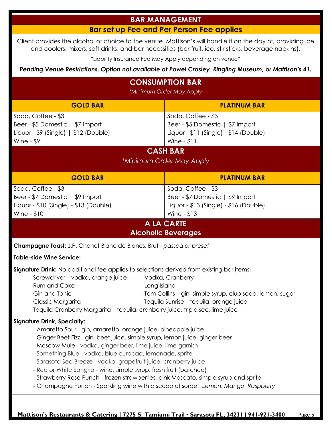# **BAR MANAGEMENT**

## **Bar set up Fee and Per Person Fee applies**

Client provides the alcohol of choice to the venue. Mattison's will handle it on the day of, providing ice and coolers, mixers, soft drinks, and bar necessities (bar fruit, ice, stir sticks, beverage napkins).

\*Liability Insurance Fee May Apply depending on venue\*

*Pending Venue Restrictions. Option not available at Powel Crosley, Ringling Museum, or Mattison's 41.*

| <b>CONSUMPTION BAR</b><br>*Minimum Order May Apply                                                                                                                                                                                                                                                                                                                                                                                                                                                                                                                                                                                       |                                                                                                                    |  |  |  |  |
|------------------------------------------------------------------------------------------------------------------------------------------------------------------------------------------------------------------------------------------------------------------------------------------------------------------------------------------------------------------------------------------------------------------------------------------------------------------------------------------------------------------------------------------------------------------------------------------------------------------------------------------|--------------------------------------------------------------------------------------------------------------------|--|--|--|--|
| <b>GOLD BAR</b>                                                                                                                                                                                                                                                                                                                                                                                                                                                                                                                                                                                                                          | <b>PLATINUM BAR</b>                                                                                                |  |  |  |  |
| Soda, Coffee - \$3<br>Beer - \$5 Domestic   \$7 Import<br>Liquor - $$9$ (Single)   $$12$ (Double)<br>Wine - $$9$                                                                                                                                                                                                                                                                                                                                                                                                                                                                                                                         | Soda, Coffee - \$3<br>Beer - \$5 Domestic   \$7 Import<br>Liquor - \$11 (Single) - \$14 (Double)<br>Wine - \$11    |  |  |  |  |
| <b>CASH BAR</b><br>*Minimum Order May Apply                                                                                                                                                                                                                                                                                                                                                                                                                                                                                                                                                                                              |                                                                                                                    |  |  |  |  |
| <b>GOLD BAR</b>                                                                                                                                                                                                                                                                                                                                                                                                                                                                                                                                                                                                                          | <b>PLATINUM BAR</b>                                                                                                |  |  |  |  |
| Soda, Coffee - \$3<br>Beer - \$7 Domestic   \$9 Import<br>Liquor - $$10$ (Single) - $$13$ (Double)<br>Wine - $$10$                                                                                                                                                                                                                                                                                                                                                                                                                                                                                                                       | Soda, Coffee - \$3<br>Beer - \$7 Domestic   \$9 Import<br>Liquor - $$13$ (Single) - $$16$ (Double)<br>Wine - $$13$ |  |  |  |  |
|                                                                                                                                                                                                                                                                                                                                                                                                                                                                                                                                                                                                                                          | <b>A LA CARTE</b><br><b>Alcoholic Beverages</b>                                                                    |  |  |  |  |
| <b>Champagne Toast:</b> J.P. Chenet Blanc de Blancs, Brut - passed or preset                                                                                                                                                                                                                                                                                                                                                                                                                                                                                                                                                             |                                                                                                                    |  |  |  |  |
| <b>Table-side Wine Service:</b>                                                                                                                                                                                                                                                                                                                                                                                                                                                                                                                                                                                                          |                                                                                                                    |  |  |  |  |
| Signature Drink: No additional fee applies to selections derived from existing bar items.<br>- Vodka, Cranberry<br>Screwdriver - vodka, orange juice<br>Rum and Coke<br>- Long Island<br>Gin and Tonic<br>- Tom Collins - gin, simple syrup, club soda, lemon, sugar<br>- Tequila Sunrise - tequila, orange juice<br>Classic Margarita<br>Tequila Cranberry Margarita - tequila, cranberry juice, triple sec, lime juice                                                                                                                                                                                                                 |                                                                                                                    |  |  |  |  |
| <b>Signature Drink, Specialty:</b><br>- Amaretto Sour - gin, amaretto, orange juice, pineapple juice<br>- Ginger Beet Fizz - gin, beet juice, simple syrup, lemon juice, ginger beer<br>- Moscow Mule - vodka, ginger beer, lime juice, lime garnish<br>- Something Blue - vodka, blue curacao, lemonade, sprite<br>- Sarasota Sea Breeze - vodka, grapefruit juice, cranberry juice<br>- Red or White Sangria - wine, simple syrup, fresh fruit (batched)<br>- Strawberry Rose Punch - frozen strawberries, pink Moscato, simple syrup and sprite<br>- Champagne Punch - Sparkling wine with a scoop of sorbet. Lemon, Mango, Raspberry |                                                                                                                    |  |  |  |  |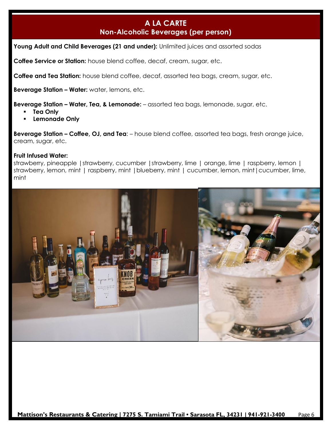## **A LA CARTE Non-Alcoholic Beverages (per person)**

Young Adult and Child Beverages (21 and under): Unlimited juices and assorted sodas

**Coffee Service or Station:** house blend coffee, decaf, cream, sugar, etc.

**Coffee and Tea Station:** house blend coffee, decaf, assorted tea bags, cream, sugar, etc.

**Beverage Station – Water:** water, lemons, etc.

**Beverage Station – Water, Tea, & Lemonade:** – assorted tea bags, lemonade, sugar, etc.

- **Tea Only**
- **Lemonade Only**

**Beverage Station – Coffee, OJ, and Tea**: – house blend coffee, assorted tea bags, fresh orange juice, cream, sugar, etc.

#### **Fruit Infused Water:**

strawberry, pineapple | strawberry, cucumber | strawberry, lime | orange, lime | raspberry, lemon | strawberry, lemon, mint | raspberry, mint | blueberry, mint | cucumber, lemon, mint | cucumber, lime, mint

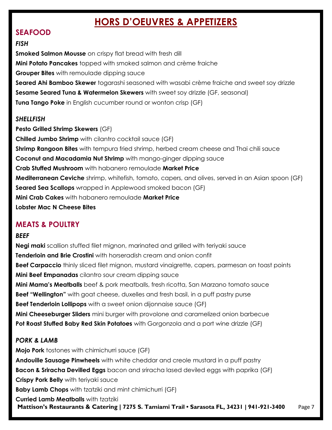# **HORS D'OEUVRES & APPETIZERS**

## **SEAFOOD**

#### *FISH*

**Smoked Salmon Mousse** on crispy flat bread with fresh dill **Mini Potato Pancakes** topped with smoked salmon and crème fraiche **Grouper Bites** with remoulade dipping sauce **Seared Ahi Bamboo Skewer** togarashi seasoned with wasabi crème fraiche and sweet soy drizzle **Sesame Seared Tuna & Watermelon Skewers** with sweet soy drizzle (GF, seasonal) **Tuna Tango Poke** in English cucumber round or wonton crisp (GF)

#### *SHELLFISH*

**Pesto Grilled Shrimp Skewers** (GF) **Chilled Jumbo Shrimp** with cilantro cocktail sauce (GF) **Shrimp Rangoon Bites** with tempura fried shrimp, herbed cream cheese and Thai chili sauce **Coconut and Macadamia Nut Shrimp** with mango-ginger dipping sauce **Crab Stuffed Mushroom** with habanero remoulade **Market Price Mediterranean Ceviche** shrimp, whitefish, tomato, capers, and olives, served in an Asian spoon (GF) **Seared Sea Scallops** wrapped in Applewood smoked bacon (GF) **Mini Crab Cakes** with habanero remoulade **Market Price Lobster Mac N Cheese Bites** 

## **MEATS & POULTRY**

## *BEEF*

**Negi maki** scallion stuffed filet mignon, marinated and grilled with teriyaki sauce **Tenderloin and Brie Crostini** with horseradish cream and onion confit **Beef Carpaccio** thinly sliced filet mignon, mustard vinaigrette, capers, parmesan on toast points **Mini Beef Empanadas** cilantro sour cream dipping sauce **Mini Mama's Meatballs** beef & pork meatballs, fresh ricotta, San Marzano tomato sauce **Beef "Wellington"** with goat cheese, duxelles and fresh basil, in a puff pastry purse **Beef Tenderloin Lollipops** with a sweet onion dijonnaise sauce (GF) **Mini Cheeseburger Sliders** mini burger with provolone and caramelized onion barbecue **Pot Roast Stuffed Baby Red Skin Potatoes** with Gorgonzola and a port wine drizzle (GF)

## *PORK & LAMB*

**Mattison's Restaurants & Catering | 7275 S. Tamiami Trail • Sarasota FL, 34231 | 941-921-3400** Page 7 **Mojo Pork** tostones with chimichurri sauce (GF) **Andouille Sausage Pinwheels** with white cheddar and creole mustard in a puff pastry **Bacon & Sriracha Devilled Eggs** bacon and sriracha lased deviled eggs with paprika (GF) **Crispy Pork Belly** with teriyaki sauce **Baby Lamb Chops** with tzatziki and mint chimichurri (GF) **Curried Lamb Meatballs** with tzatziki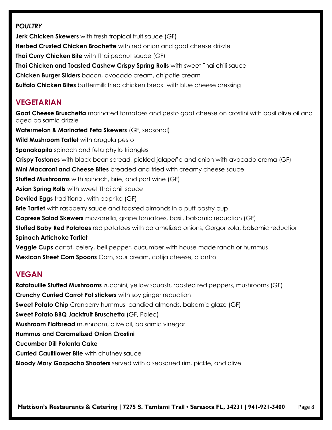#### *POULTRY*

**Jerk Chicken Skewers** with fresh tropical fruit sauce (GF) **Herbed Crusted Chicken Brochette** with red onion and goat cheese drizzle **Thai Curry Chicken Bite** with Thai peanut sauce (GF) **Thai Chicken and Toasted Cashew Crispy Spring Rolls** with sweet Thai chili sauce **Chicken Burger Sliders** bacon, avocado cream, chipotle cream **Buffalo Chicken Bites** buttermilk fried chicken breast with blue cheese dressing

## **VEGETARIAN**

**Goat Cheese Bruschetta** marinated tomatoes and pesto goat cheese on crostini with basil olive oil and aged balsamic drizzle **Watermelon & Marinated Feta Skewers** (GF, seasonal) **Wild Mushroom Tartlet** with arugula pesto **Spanakopita** spinach and feta phyllo triangles **Crispy Tostones** with black bean spread, pickled jalapeño and onion with avocado crema (GF) **Mini Macaroni and Cheese Bites** breaded and fried with creamy cheese sauce **Stuffed Mushrooms** with spinach, brie, and port wine (GF) **Asian Spring Rolls** with sweet Thai chili sauce **Deviled Eggs** traditional, with paprika (GF) **Brie Tartlet** with raspberry sauce and toasted almonds in a puff pastry cup **Caprese Salad Skewers** mozzarella, grape tomatoes, basil, balsamic reduction (GF) **Stuffed Baby Red Potatoes** red potatoes with caramelized onions, Gorgonzola, balsamic reduction **Spinach Artichoke Tartlet Veggie Cups** carrot, celery, bell pepper, cucumber with house made ranch or hummus **Mexican Street Corn Spoons** Corn, sour cream, cotija cheese, cilantro

## **VEGAN**

**Ratatouille Stuffed Mushrooms** zucchini, yellow squash, roasted red peppers, mushrooms (GF) **Crunchy Curried Carrot Pot stickers** with soy ginger reduction **Sweet Potato Chip** Cranberry hummus, candied almonds, balsamic glaze (GF) **Sweet Potato BBQ Jackfruit Bruschetta** (GF, Paleo) **Mushroom Flatbread** mushroom, olive oil, balsamic vinegar **Hummus and Caramelized Onion Crostini Cucumber Dill Polenta Cake Curried Cauliflower Bite** with chutney sauce **Bloody Mary Gazpacho Shooters** served with a seasoned rim, pickle, and olive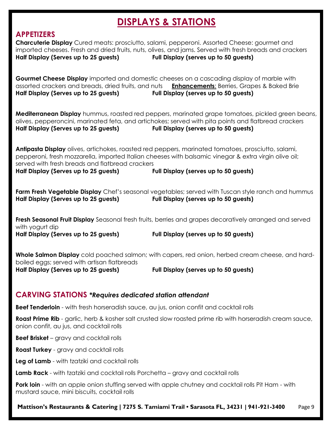# **DISPLAYS & STATIONS**

## **APPETIZERS**

| <b>Charcuterie Display</b> Cured meats: prosciutto, salami, pepperoni. Assorted Cheese: gourmet and<br>imported cheeses. Fresh and dried fruits, nuts, olives, and jams. Served with fresh breads and crackers<br>Half Display (Serves up to 25 guests)                                                 | Full Display (serves up to 50 guests)                                                                                                             |  |  |  |
|---------------------------------------------------------------------------------------------------------------------------------------------------------------------------------------------------------------------------------------------------------------------------------------------------------|---------------------------------------------------------------------------------------------------------------------------------------------------|--|--|--|
| Gourmet Cheese Display imported and domestic cheeses on a cascading display of marble with<br>assorted crackers and breads, dried fruits, and nuts <b>Enhancements:</b> Berries, Grapes & Baked Brie<br>Half Display (Serves up to 25 guests)                                                           | Full Display (serves up to 50 guests)                                                                                                             |  |  |  |
| olives, pepperoncini, marinated feta, and artichokes; served with pita points and flatbread crackers<br>Half Display (Serves up to 25 guests)                                                                                                                                                           | <b>Mediterranean Display</b> hummus, roasted red peppers, marinated grape tomatoes, pickled green beans,<br>Full Display (serves up to 50 guests) |  |  |  |
| Antipasta Display olives, artichokes, roasted red peppers, marinated tomatoes, prosciutto, salami,<br>pepperoni, fresh mozzarella, imported Italian cheeses with balsamic vinegar & extra virgin olive oil;<br>served with fresh breads and flatbread crackers<br>Half Display (Serves up to 25 guests) | Full Display (serves up to 50 guests)                                                                                                             |  |  |  |
| Half Display (Serves up to 25 guests)                                                                                                                                                                                                                                                                   | Farm Fresh Vegetable Display Chef's seasonal vegetables; served with Tuscan style ranch and hummus<br>Full Display (serves up to 50 guests)       |  |  |  |
| Fresh Seasonal Fruit Display Seasonal fresh fruits, berries and grapes decoratively arranged and served<br>with yogurt dip                                                                                                                                                                              |                                                                                                                                                   |  |  |  |
| Half Display (Serves up to 25 guests)                                                                                                                                                                                                                                                                   | Full Display (serves up to 50 guests)                                                                                                             |  |  |  |
| <b>Whole Salmon Display</b> cold poached salmon; with capers, red onion, herbed cream cheese, and hard-<br>boiled eggs; served with artisan flatbreads                                                                                                                                                  |                                                                                                                                                   |  |  |  |
| Half Display (Serves up to 25 guests)                                                                                                                                                                                                                                                                   | Full Display (serves up to 50 guests)                                                                                                             |  |  |  |
| <b>CARVING STATIONS *Requires dedicated station attendant</b>                                                                                                                                                                                                                                           |                                                                                                                                                   |  |  |  |
| <b>Beef Tenderloin</b> - with fresh horseradish sauce, au jus, onion confit and cocktail rolls                                                                                                                                                                                                          |                                                                                                                                                   |  |  |  |
| <b>Roast Prime Rib</b> - garlic, herb & kosher salt crusted slow roasted prime rib with horseradish cream sauce,<br>onion confit, au jus, and cocktail rolls                                                                                                                                            |                                                                                                                                                   |  |  |  |
| <b>Beef Brisket</b> - gravy and cocktail rolls                                                                                                                                                                                                                                                          |                                                                                                                                                   |  |  |  |
| Roast Turkey - gravy and cocktail rolls                                                                                                                                                                                                                                                                 |                                                                                                                                                   |  |  |  |

**Leg of Lamb** - with tzatziki and cocktail rolls

**Lamb Rack** - with tzatziki and cocktail rolls Porchetta – gravy and cocktail rolls

**Pork loin** - with an apple onion stuffing served with apple chutney and cocktail rolls Pit Ham - with mustard sauce, mini biscuits, cocktail rolls

**Mattison's Restaurants & Catering | 7275 S. Tamiami Trail • Sarasota FL, 34231 | 941-921-3400** Page 9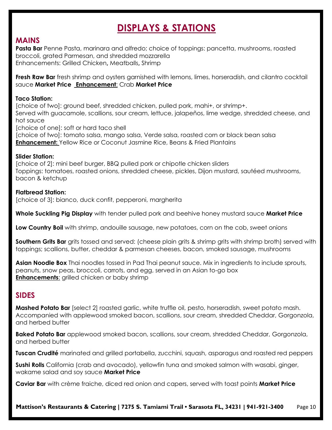# **DISPLAYS & STATIONS**

## **MAINS**

Pasta Bar Penne Pasta, marinara and alfredo; choice of toppings: pancetta, mushrooms, roasted broccoli, grated Parmesan, and shredded mozzarella Enhancements: Grilled Chicken**,** Meatballs**,** Shrimp

**Fresh Raw Bar** fresh shrimp and oysters garnished with lemons, limes, horseradish, and cilantro cocktail sauce **Market Price Enhancement**: Crab **Market Price**

#### **Taco Station:**

[choice of two]: ground beef, shredded chicken, pulled pork, mahi+, or shrimp+. Served with guacamole, scallions, sour cream, lettuce, jalapeños, lime wedge, shredded cheese, and hot sauce [choice of one]: soft or hard taco shell

[choice of two]: tomato salsa, mango salsa, Verde salsa, roasted corn or black bean salsa **Enhancement:** Yellow Rice or Coconut Jasmine Rice, Beans & Fried Plantains

#### **Slider Station:**

[choice of 2]: mini beef burger, BBQ pulled pork or chipotle chicken sliders Toppings: tomatoes, roasted onions, shredded cheese, pickles, Dijon mustard, sautéed mushrooms, bacon & ketchup

#### **Flatbread Station:**

[choice of 3]: bianco, duck confit, pepperoni, margherita

**Whole Suckling Pig Display** with tender pulled pork and beehive honey mustard sauce **Market Price**

**Low Country Boil** with shrimp, andouille sausage, new potatoes, corn on the cob, sweet onions

**Southern Grits Bar** grits tossed and served: (cheese plain grits & shrimp grits with shrimp broth) served with toppings; scallions, butter, cheddar & parmesan cheeses, bacon, smoked sausage, mushrooms

**Asian Noodle Box** Thai noodles tossed in Pad Thai peanut sauce. Mix in ingredients to include sprouts, peanuts, snow peas, broccoli, carrots, and egg, served in an Asian to-go box **Enhancements**: grilled chicken or baby shrimp

## **SIDES**

**Mashed Potato Bar** [select 2] roasted garlic, white truffle oil, pesto, horseradish, sweet potato mash. Accompanied with applewood smoked bacon, scallions, sour cream, shredded Cheddar, Gorgonzola, and herbed butter

**Baked Potato Bar** applewood smoked bacon, scallions, sour cream, shredded Cheddar, Gorgonzola, and herbed butter

**Tuscan Crudité** marinated and grilled portabella, zucchini, squash, asparagus and roasted red peppers

**Sushi Rolls** California (crab and avocado), yellowfin tuna and smoked salmon with wasabi, ginger, wakame salad and soy sauce **Market Price**

**Caviar Bar** with crème fraiche, diced red onion and capers, served with toast points **Market Price**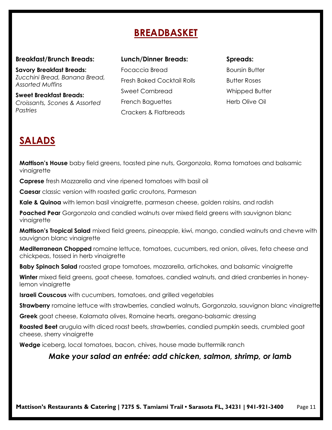# **BREADBASKET**

#### **Breakfast/Brunch Breads:**

**Savory Breakfast Breads:** *Zucchini Bread, Banana Bread, Assorted Muffins*

**Sweet Breakfast Breads:** *Croissants, Scones & Assorted Pastries*

| <b>Lunch/Dinner Breads:</b> |  |
|-----------------------------|--|
|-----------------------------|--|

Focaccia Bread Fresh Baked Cocktail Rolls Sweet Cornbread French Baguettes Crackers & Flatbreads

#### **Spreads:**

Boursin Butter Butter Roses Whipped Butter Herb Olive Oil

# **SALADS**

**Mattison's House** baby field greens, toasted pine nuts, Gorgonzola, Roma tomatoes and balsamic vinaigrette

**Caprese** fresh Mozzarella and vine ripened tomatoes with basil oil

**Caesar** classic version with roasted garlic croutons, Parmesan

**Kale & Quinoa** with lemon basil vinaigrette, parmesan cheese, golden raisins, and radish

**Poached Pear** Gorgonzola and candied walnuts over mixed field greens with sauvignon blanc vinaigrette

**Mattison's Tropical Salad** mixed field greens, pineapple, kiwi, mango, candied walnuts and chevre with sauvignon blanc vinaigrette

**Mediterranean Chopped** romaine lettuce, tomatoes, cucumbers, red onion, olives, feta cheese and chickpeas, tossed in herb vinaigrette

**Baby Spinach Salad** roasted grape tomatoes, mozzarella, artichokes, and balsamic vinaigrette

Winter mixed field greens, goat cheese, tomatoes, candied walnuts, and dried cranberries in honeylemon vinaigrette

**Israeli Couscous** with cucumbers, tomatoes, and grilled vegetables

**Strawberry** romaine lettuce with strawberries, candied walnuts, Gorgonzola, sauvignon blanc vinaigrette

**Greek** goat cheese, Kalamata olives, Romaine hearts, oregano-balsamic dressing

**Roasted Beet** arugula with diced roast beets, strawberries, candied pumpkin seeds, crumbled goat cheese, sherry vinaigrette

**Wedge** iceberg, local tomatoes, bacon, chives, house made buttermilk ranch

## *Make your salad an entrée: add chicken, salmon, shrimp, or lamb*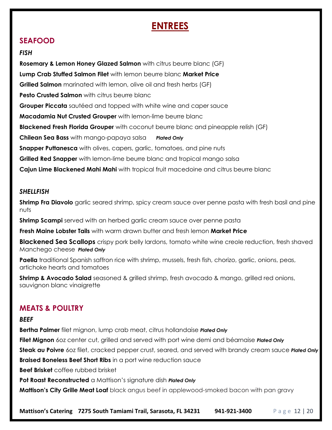# **ENTREES**

## **SEAFOOD**

#### *FISH*

**Rosemary & Lemon Honey Glazed Salmon** with citrus beurre blanc (GF) **Lump Crab Stuffed Salmon Filet** with lemon beurre blanc **Market Price Grilled Salmon** marinated with lemon, olive oil and fresh herbs (GF) **Pesto Crusted Salmon** with citrus beurre blanc **Grouper Piccata** sautéed and topped with white wine and caper sauce **Macadamia Nut Crusted Grouper** with lemon-lime beurre blanc **Blackened Fresh Florida Grouper** with coconut beurre blanc and pineapple relish (GF) **Chilean Sea Bass** with mango-papaya salsa *Plated Only* **Snapper Puttanesca** with olives, capers, garlic, tomatoes, and pine nuts **Grilled Red Snapper** with lemon-lime beurre blanc and tropical mango salsa **Cajun Lime Blackened Mahi Mahi** with tropical fruit macedoine and citrus beurre blanc

#### *SHELLFISH*

**Shrimp Fra Diavolo** garlic seared shrimp, spicy cream sauce over penne pasta with fresh basil and pine nuts

**Shrimp Scampi** served with an herbed garlic cream sauce over penne pasta

**Fresh Maine Lobster Tails** with warm drawn butter and fresh lemon **Market Price**

**Blackened Sea Scallops** crispy pork belly lardons, tomato white wine creole reduction, fresh shaved Manchego cheese *Plated Only*

**Paella** traditional Spanish saffron rice with shrimp, mussels, fresh fish, chorizo, garlic, onions, peas, artichoke hearts and tomatoes

**Shrimp & Avocado Salad** seasoned & grilled shrimp, fresh avocado & mango, grilled red onions, sauvignon blanc vinaigrette

## **MEATS & POULTRY**

#### *BEEF*

**Bertha Palmer** filet mignon, lump crab meat, citrus hollandaise *Plated Only*

**Filet Mignon** 6oz center cut, grilled and served with port wine demi and béarnaise *Plated Only*

**Steak au Poivre** 6oz filet, cracked pepper crust, seared, and served with brandy cream sauce *Plated Only*

**Braised Boneless Beef Short Ribs** in a port wine reduction sauce

**Beef Brisket** coffee rubbed brisket

**Pot Roast Reconstructed** a Mattison's signature dish *Plated Only*

**Mattison's City Grille Meat Loaf** black angus beef in applewood-smoked bacon with pan gravy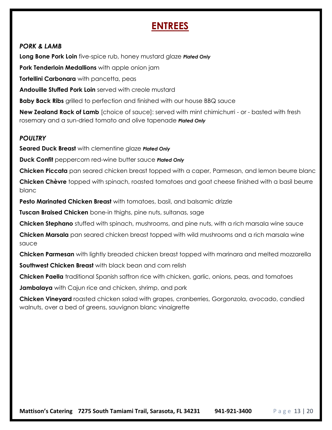# **ENTREES**

#### *PORK & LAMB*

**Long Bone Pork Loin** five-spice rub, honey mustard glaze *Plated Only*

**Pork Tenderloin Medallions** with apple onion jam

**Tortellini Carbonara** with pancetta, peas

**Andouille Stuffed Pork Loin** served with creole mustard

**Baby Back Ribs** grilled to perfection and finished with our house BBQ sauce

**New Zealand Rack of Lamb** [choice of sauce]: served with mint chimichurri - or - basted with fresh rosemary and a sun-dried tomato and olive tapenade *Plated Only*

#### *POULTRY*

**Seared Duck Breast** with clementine glaze *Plated Only*

**Duck Confit** peppercorn red-wine butter sauce *Plated Only*

**Chicken Piccata** pan seared chicken breast topped with a caper, Parmesan, and lemon beurre blanc

**Chicken Chèvre** topped with spinach, roasted tomatoes and goat cheese finished with a basil beurre blanc

**Pesto Marinated Chicken Breast** with tomatoes, basil, and balsamic drizzle

**Tuscan Braised Chicken** bone-in thighs, pine nuts, sultanas, sage

**Chicken Stephano** stuffed with spinach, mushrooms, and pine nuts, with a rich marsala wine sauce

**Chicken Marsala** pan seared chicken breast topped with wild mushrooms and a rich marsala wine sauce

**Chicken Parmesan** with lightly breaded chicken breast topped with marinara and melted mozzarella

**Southwest Chicken Breast** with black bean and corn relish

**Chicken Paella** traditional Spanish saffron rice with chicken, garlic, onions, peas, and tomatoes

**Jambalaya** with Cajun rice and chicken, shrimp, and pork

**Chicken Vineyard** roasted chicken salad with grapes, cranberries, Gorgonzola, avocado, candied walnuts, over a bed of greens, sauvignon blanc vinaigrette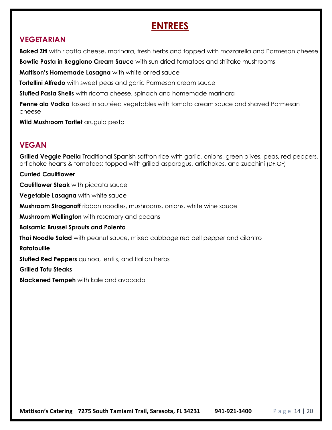# **ENTREES**

## **VEGETARIAN**

**Baked Ziti** with ricotta cheese, marinara, fresh herbs and topped with mozzarella and Parmesan cheese

**Bowtie Pasta in Reggiano Cream Sauce** with sun dried tomatoes and shiitake mushrooms

**Mattison's Homemade Lasagna** with white or red sauce

**Tortellini Alfredo** with sweet peas and garlic Parmesan cream sauce

**Stuffed Pasta Shells** with ricotta cheese, spinach and homemade marinara

**Penne ala Vodka** tossed in sautéed vegetables with tomato cream sauce and shaved Parmesan cheese

**Wild Mushroom Tartlet** arugula pesto

# **VEGAN**

**Grilled Veggie Paella** Traditional Spanish saffron rice with garlic, onions, green olives, peas, red peppers, artichoke hearts & tomatoes; topped with grilled asparagus, artichokes, and zucchini (DF,GF)

**Curried Cauliflower Cauliflower Steak** with piccata sauce **Vegetable Lasagna** with white sauce **Mushroom Stroganoff** ribbon noodles, mushrooms, onions, white wine sauce **Mushroom Wellington** with rosemary and pecans **Balsamic Brussel Sprouts and Polenta Thai Noodle Salad** with peanut sauce, mixed cabbage red bell pepper and cilantro **Ratatouille Stuffed Red Peppers** quinoa, lentils, and Italian herbs **Grilled Tofu Steaks Blackened Tempeh** with kale and avocado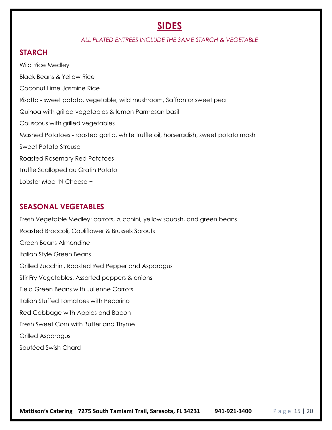# **SIDES**

#### *ALL PLATED ENTREES INCLUDE THE SAME STARCH & VEGETABLE*

#### **STARCH**

Wild Rice Medley Black Beans & Yellow Rice Coconut Lime Jasmine Rice Risotto - sweet potato, vegetable, wild mushroom, Saffron or sweet pea Quinoa with grilled vegetables & lemon Parmesan basil Couscous with grilled vegetables Mashed Potatoes - roasted garlic, white truffle oil, horseradish, sweet potato mash Sweet Potato Streusel Roasted Rosemary Red Potatoes Truffle Scalloped au Gratin Potato Lobster Mac 'N Cheese +

#### **SEASONAL VEGETABLES**

Fresh Vegetable Medley: carrots, zucchini, yellow squash, and green beans Roasted Broccoli, Cauliflower & Brussels Sprouts Green Beans Almondine Italian Style Green Beans Grilled Zucchini, Roasted Red Pepper and Asparagus Stir Fry Vegetables: Assorted peppers & onions Field Green Beans with Julienne Carrots Italian Stuffed Tomatoes with Pecorino Red Cabbage with Apples and Bacon Fresh Sweet Corn with Butter and Thyme Grilled Asparagus Sautéed Swish Chard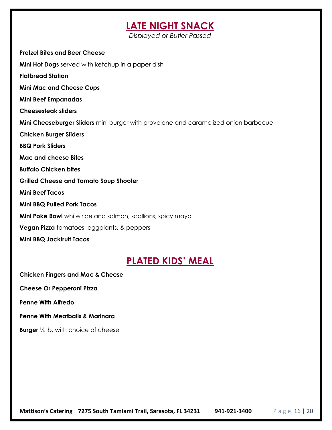# **LATE NIGHT SNACK**

*Displayed or Butler Passed* 

#### **Pretzel Bites and Beer Cheese**

**Mini Hot Dogs** served with ketchup in a paper dish

**Flatbread Station**

**Mini Mac and Cheese Cups**

**Mini Beef Empanadas**

**Cheesesteak sliders**

**Mini Cheeseburger Sliders** mini burger with provolone and caramelized onion barbecue

**Chicken Burger Sliders**

**BBQ Pork Sliders** 

**Mac and cheese Bites**

**Buffalo Chicken bites**

**Grilled Cheese and Tomato Soup Shooter**

**Mini Beef Tacos**

**Mini BBQ Pulled Pork Tacos** 

**Mini Poke Bowl** white rice and salmon, scallions, spicy mayo

**Vegan Pizza** tomatoes, eggplants, & peppers

**Mini BBQ Jackfruit Tacos**

# **PLATED KIDS' MEAL**

**Chicken Fingers and Mac & Cheese** 

**Cheese Or Pepperoni Pizza** 

**Penne With Alfredo** 

**Penne With Meatballs & Marinara** 

**Burger** <sup>1</sup>/<sub>4</sub> lb. with choice of cheese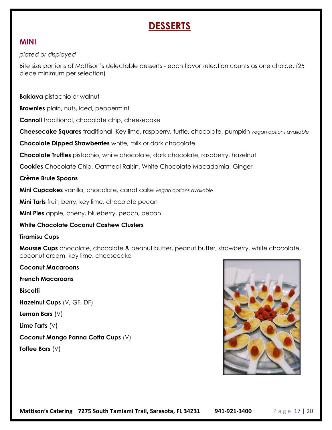# **DESSERTS**

#### **MINI**

*plated or displayed*

Bite size portions of Mattison's delectable desserts - each flavor selection counts as one choice. (25 piece minimum per selection)

**Baklava** pistachio or walnut

**Brownies** plain, nuts, iced, peppermint

**Cannoli** traditional, chocolate chip, cheesecake

**Cheesecake Squares** traditional, Key lime, raspberry, turtle, chocolate, pumpkin *vegan options available*

**Chocolate Dipped Strawberries** white, milk or dark chocolate

**Chocolate Truffles** pistachio, white chocolate, dark chocolate, raspberry, hazelnut

**Cookies** Chocolate Chip, Oatmeal Raisin, White Chocolate Macadamia, Ginger

**Crème Brule Spoons**

**Mini Cupcakes** vanilla, chocolate, carrot cake *vegan options available*

**Mini Tarts** fruit, berry, key lime, chocolate pecan

**Mini Pies** apple, cherry, blueberry, peach, pecan

#### **White Chocolate Coconut Cashew Clusters**

#### **Tiramisu Cups**

**Mousse Cups** chocolate, chocolate & peanut butter, peanut butter, strawberry, white chocolate, coconut cream, key lime, cheesecake

**Coconut Macaroons French Macaroons Biscotti Hazelnut Cups** (V, GF, DF) **Lemon Bars** (V) **Lime Tarts** (V) **Coconut Mango Panna Cotta Cups** (V) **Toffee Bars** (V)

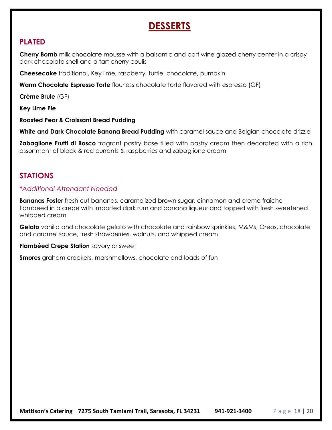# **DESSERTS**

## **PLATED**

**Cherry Bomb** milk chocolate mousse with a balsamic and port wine glazed cherry center in a crispy dark chocolate shell and a tart cherry coulis

**Cheesecake** traditional, Key lime, raspberry, turtle, chocolate, pumpkin

**Warm Chocolate Espresso Torte** flourless chocolate torte flavored with espresso (GF)

**Crème Brule** (GF)

**Key Lime Pie**

**Roasted Pear & Croissant Bread Pudding**

**White and Dark Chocolate Banana Bread Pudding** with caramel sauce and Belgian chocolate drizzle

**Zabaglione Frutti di Bosco** fragrant pastry base filled with pastry cream then decorated with a rich assortment of black & red currants & raspberries and zabaglione cream

## **STATIONS**

#### *\*Additional Attendant Needed*

**Bananas Foster** fresh cut bananas, caramelized brown sugar, cinnamon and creme fraiche flambeed in a crepe with imported dark rum and banana liqueur and topped with fresh sweetened whipped cream

**Gelato** vanilla and chocolate gelato with chocolate and rainbow sprinkles, M&Ms, Oreos, chocolate and caramel sauce, fresh strawberries, walnuts, and whipped cream

**Flambéed Crepe Station** savory or sweet

**Smores** graham crackers, marshmallows, chocolate and loads of fun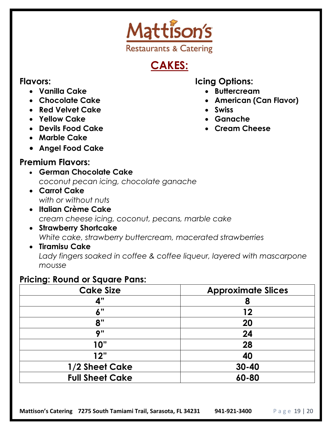

# **CAKES:**

## **Flavors:**

- **Vanilla Cake**
- **Chocolate Cake**
- **Red Velvet Cake**
- **Yellow Cake**
- **Devils Food Cake**
- **Marble Cake**
- **Angel Food Cake**

# **Premium Flavors:**

- **German Chocolate Cake** *coconut pecan icing, chocolate ganache*
- **Carrot Cake** *with or without nuts*
- **Italian Crème Cake**  *cream cheese icing, coconut, pecans, marble cake*
- **Strawberry Shortcake** *White cake, strawberry buttercream, macerated strawberries*
- **Tiramisu Cake**  Lady fingers soaked in coffee & coffee liqueur, layered with mascarpone *mousse*

# **Pricing: Round or Square Pans:**

| <b>Cake Size</b>       | <b>Approximate Slices</b> |  |
|------------------------|---------------------------|--|
| 4"                     | 8                         |  |
| 6"                     | 12                        |  |
| 8"                     | 20                        |  |
| Q''                    | 24                        |  |
| 10"                    | 28                        |  |
| 12"                    | 40                        |  |
| 1/2 Sheet Cake         | $30 - 40$                 |  |
| <b>Full Sheet Cake</b> | 60-80                     |  |

# **Icing Options:**

- **Buttercream**
- **American (Can Flavor)**
- **Swiss**
- **Ganache**
- **Cream Cheese**